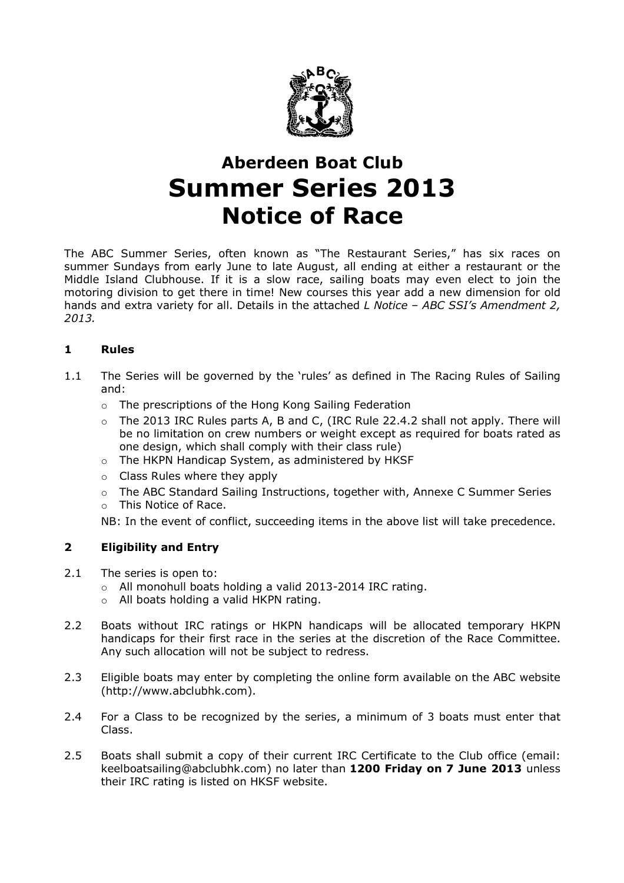

# Aberdeen Boat Club Summer Series 2013 Notice of Race

The ABC Summer Series, often known as "The Restaurant Series," has six races on summer Sundays from early June to late August, all ending at either a restaurant or the Middle Island Clubhouse. If it is a slow race, sailing boats may even elect to join the motoring division to get there in time! New courses this year add a new dimension for old hands and extra variety for all. Details in the attached  $L$  Notice - ABC SSI's Amendment 2, 2013.

### 1 Rules

- 1.1 The Series will be governed by the 'rules' as defined in The Racing Rules of Sailing and:
	- o The prescriptions of the Hong Kong Sailing Federation
	- $\circ$  The 2013 IRC Rules parts A, B and C, (IRC Rule 22.4.2 shall not apply. There will be no limitation on crew numbers or weight except as required for boats rated as one design, which shall comply with their class rule)
	- o The HKPN Handicap System, as administered by HKSF
	- o Class Rules where they apply
	- o The ABC Standard Sailing Instructions, together with, Annexe C Summer Series
	- o This Notice of Race.

NB: In the event of conflict, succeeding items in the above list will take precedence.

### 2 Eligibility and Entry

- 2.1 The series is open to:
	- o All monohull boats holding a valid 2013-2014 IRC rating.
	- o All boats holding a valid HKPN rating.
- 2.2 Boats without IRC ratings or HKPN handicaps will be allocated temporary HKPN handicaps for their first race in the series at the discretion of the Race Committee. Any such allocation will not be subject to redress.
- 2.3 Eligible boats may enter by completing the online form available on the ABC website (http://www.abclubhk.com).
- 2.4 For a Class to be recognized by the series, a minimum of 3 boats must enter that Class.
- 2.5 Boats shall submit a copy of their current IRC Certificate to the Club office (email: keelboatsailing@abclubhk.com) no later than 1200 Friday on 7 June 2013 unless their IRC rating is listed on HKSF website.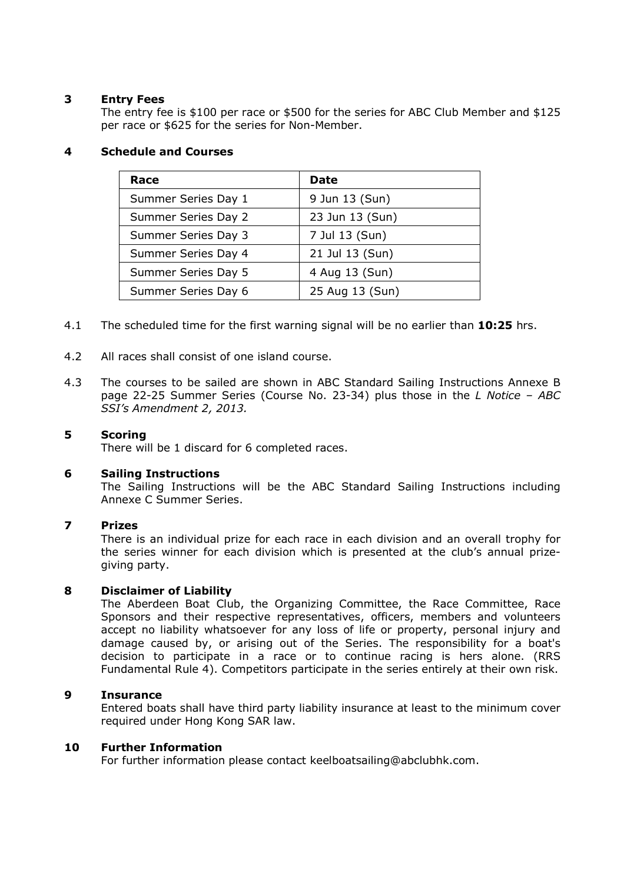#### 3 Entry Fees

The entry fee is \$100 per race or \$500 for the series for ABC Club Member and \$125 per race or \$625 for the series for Non-Member.

#### 4 Schedule and Courses

| Race                | Date            |
|---------------------|-----------------|
| Summer Series Day 1 | 9 Jun 13 (Sun)  |
| Summer Series Day 2 | 23 Jun 13 (Sun) |
| Summer Series Day 3 | 7 Jul 13 (Sun)  |
| Summer Series Day 4 | 21 Jul 13 (Sun) |
| Summer Series Day 5 | 4 Aug 13 (Sun)  |
| Summer Series Day 6 | 25 Aug 13 (Sun) |

- 4.1 The scheduled time for the first warning signal will be no earlier than 10:25 hrs.
- 4.2 All races shall consist of one island course.
- 4.3 The courses to be sailed are shown in ABC Standard Sailing Instructions Annexe B page 22-25 Summer Series (Course No. 23-34) plus those in the L Notice - ABC SSI's Amendment 2, 2013.

#### 5 Scoring

There will be 1 discard for 6 completed races.

#### 6 Sailing Instructions

The Sailing Instructions will be the ABC Standard Sailing Instructions including Annexe C Summer Series.

#### 7 Prizes

There is an individual prize for each race in each division and an overall trophy for the series winner for each division which is presented at the club's annual prizegiving party.

#### 8 Disclaimer of Liability

The Aberdeen Boat Club, the Organizing Committee, the Race Committee, Race Sponsors and their respective representatives, officers, members and volunteers accept no liability whatsoever for any loss of life or property, personal injury and damage caused by, or arising out of the Series. The responsibility for a boat's decision to participate in a race or to continue racing is hers alone. (RRS Fundamental Rule 4). Competitors participate in the series entirely at their own risk.

#### 9 Insurance

Entered boats shall have third party liability insurance at least to the minimum cover required under Hong Kong SAR law.

#### 10 Further Information

For further information please contact keelboatsailing@abclubhk.com.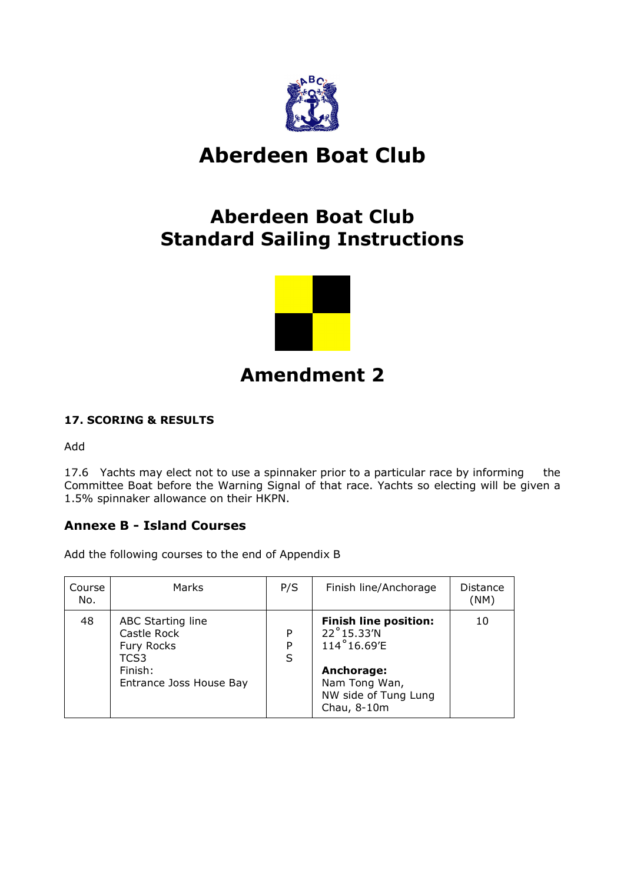

# Aberdeen Boat Club

## Aberdeen Boat Club Standard Sailing Instructions



## Amendment 2

## 17. SCORING & RESULTS

Add

17.6 Yachts may elect not to use a spinnaker prior to a particular race by informing the Committee Boat before the Warning Signal of that race. Yachts so electing will be given a 1.5% spinnaker allowance on their HKPN.

## Annexe B - Island Courses

Add the following courses to the end of Appendix B

| Course<br>No. | Marks                                                                                        | P/S         | Finish line/Anchorage                                                                                                           | Distance<br>(NM) |
|---------------|----------------------------------------------------------------------------------------------|-------------|---------------------------------------------------------------------------------------------------------------------------------|------------------|
| 48            | ABC Starting line<br>Castle Rock<br>Fury Rocks<br>TCS3<br>Finish:<br>Entrance Joss House Bay | P<br>P<br>S | <b>Finish line position:</b><br>22°15.33'N<br>114°16.69'E<br>Anchorage:<br>Nam Tong Wan,<br>NW side of Tung Lung<br>Chau, 8-10m | 10               |